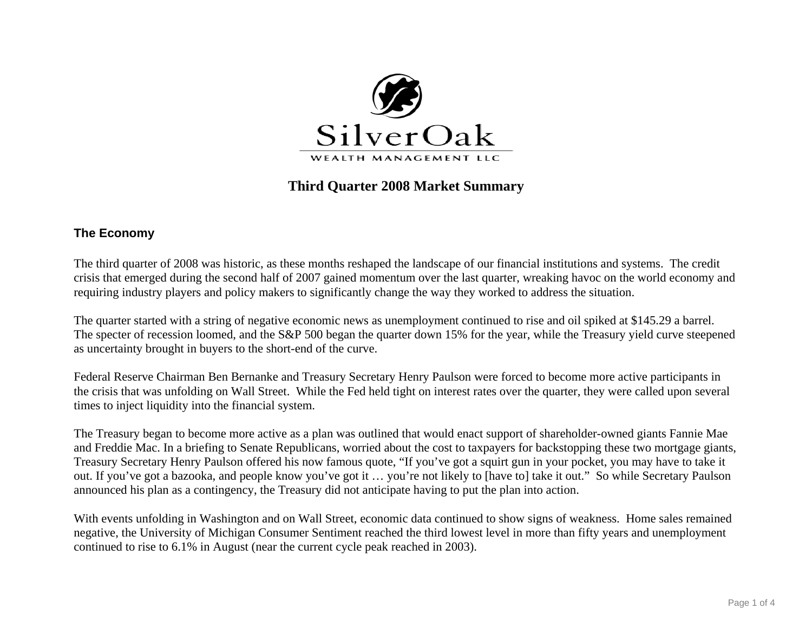

# **Third Quarter 2008 Market Summary**

## **The Economy**

The third quarter of 2008 was historic, as these months reshaped the landscape of our financial institutions and systems. The credit crisis that emerged during the second half of 2007 gained momentum over the last quarter, wreaking havoc on the world economy and requiring industry players and policy makers to significantly change the way they worked to address the situation.

The quarter started with a string of negative economic news as unemployment continued to rise and oil spiked at \$145.29 a barrel. The specter of recession loomed, and the S&P 500 began the quarter down 15% for the year, while the Treasury yield curve steepened as uncertainty brought in buyers to the short-end of the curve.

Federal Reserve Chairman Ben Bernanke and Treasury Secretary Henry Paulson were forced to become more active participants in the crisis that was unfolding on Wall Street. While the Fed held tight on interest rates over the quarter, they were called upon several times to inject liquidity into the financial system.

The Treasury began to become more active as a plan was outlined that would enact support of shareholder-owned giants Fannie Mae and Freddie Mac. In a briefing to Senate Republicans, worried about the cost to taxpayers for backstopping these two mortgage giants, Treasury Secretary Henry Paulson offered his now famous quote, "If you've got a squirt gun in your pocket, you may have to take it out. If you've got a bazooka, and people know you've got it … you're not likely to [have to] take it out." So while Secretary Paulson announced his plan as a contingency, the Treasury did not anticipate having to put the plan into action.

With events unfolding in Washington and on Wall Street, economic data continued to show signs of weakness. Home sales remained negative, the University of Michigan Consumer Sentiment reached the third lowest level in more than fifty years and unemployment continued to rise to 6.1% in August (near the current cycle peak reached in 2003).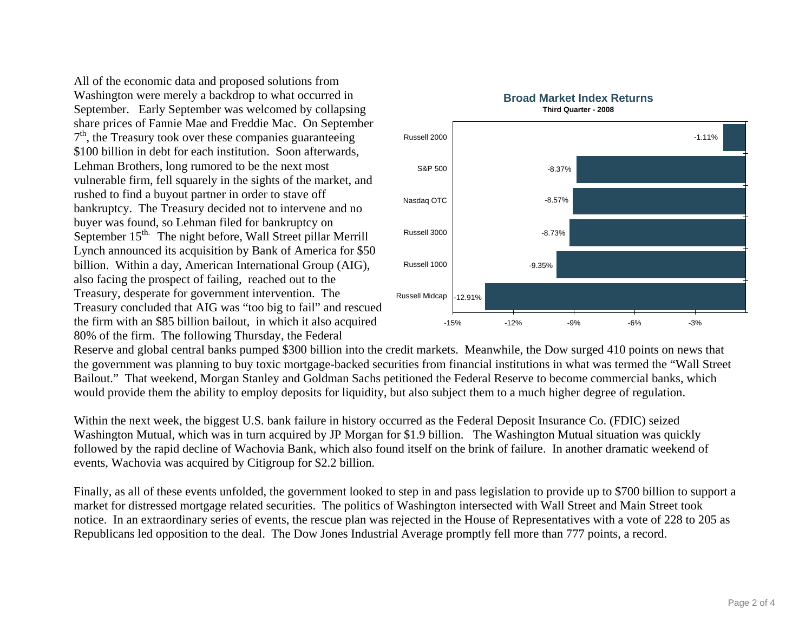All of the economic data and proposed solutions from Washington were merely a backdrop to what occurred in September. Early September was welcomed by collapsing share prices of Fannie Mae and Freddie Mac. On September  $7<sup>th</sup>$ , the Treasury took over these companies guaranteeing \$100 billion in debt for each institution. Soon afterwards, Lehman Brothers, long rumored to be the next most vulnerable firm, fell squarely in the sights of the market, and rushed to find a buyout partner in order to stave off bankruptcy. The Treasury decided not to intervene and no buyer was found, so Lehman filed for bankruptcy on September 15<sup>th.</sup> The night before, Wall Street pillar Merrill Lynch announced its acquisition by Bank of America for \$50 billion. Within a day, American International Group (AIG), also facing the prospect of failing, reached out to the Treasury, desperate for government intervention. The Treasury concluded that AIG was "too big to fail" and rescued the firm with an \$85 billion bailout, in which it also acquired 80% of the firm. The following Thursday, the Federal



Reserve and global central banks pumped \$300 billion into the credit markets. Meanwhile, the Dow surged 410 points on news that the government was planning to buy toxic mortgage-backed securities from financial institutions in what was termed the "Wall Street Bailout." That weekend, Morgan Stanley and Goldman Sachs petitioned the Federal Reserve to become commercial banks, which would provide them the ability to employ deposits for liquidity, but also subject them to a much higher degree of regulation.

Within the next week, the biggest U.S. bank failure in history occurred as the Federal Deposit Insurance Co. (FDIC) seized Washington Mutual, which was in turn acquired by JP Morgan for \$1.9 billion. The Washington Mutual situation was quickly followed by the rapid decline of Wachovia Bank, which also found itself on the brink of failure. In another dramatic weekend of events, Wachovia was acquired by Citigroup for \$2.2 billion.

Finally, as all of these events unfolded, the government looked to step in and pass legislation to provide up to \$700 billion to support a market for distressed mortgage related securities. The politics of Washington intersected with Wall Street and Main Street took notice. In an extraordinary series of events, the rescue plan was rejected in the House of Representatives with a vote of 228 to 205 as Republicans led opposition to the deal. The Dow Jones Industrial Average promptly fell more than 777 points, a record.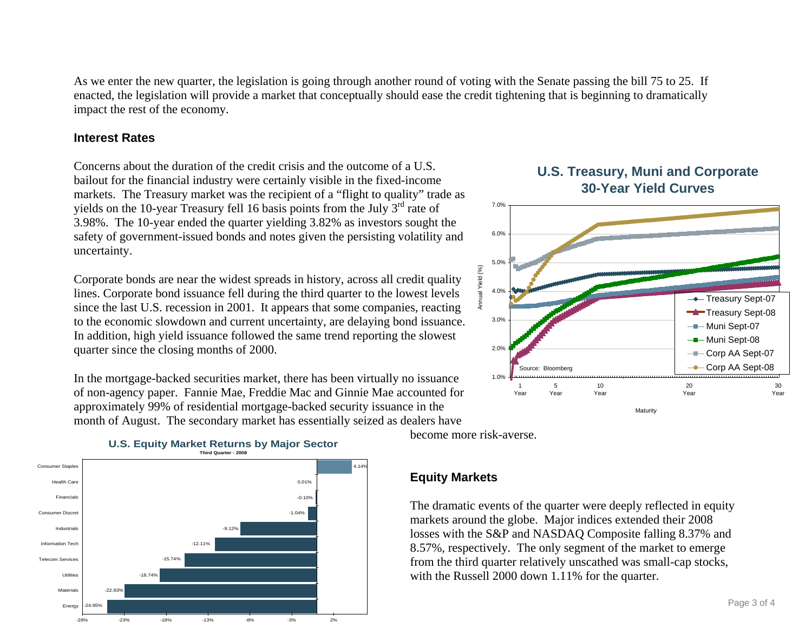As we enter the new quarter, the legislation is going through another round of voting with the Senate passing the bill 75 to 25. If enacted, the legislation will provide a market that conceptually should ease the credit tightening that is beginning to dramatically impact the rest of the economy.

#### **Interest Rates**

Concerns about the duration of the credit crisis and the outcome of a U.S. bailout for the financial industry were certainly visible in the fixed-income markets. The Treasury market was the recipient of a "flight to quality" trade as yields on the 10-year Treasury fell 16 basis points from the July  $3<sup>rd</sup>$  rate of 3.98%. The 10-year ended the quarter yielding 3.82% as investors sought the safety of government-issued bonds and notes given the persisting volatility and uncertainty.

Corporate bonds are near the widest spreads in history, across all credit quality lines. Corporate bond issuance fell during the third quarter to the lowest levels since the last U.S. recession in 2001. It appears that some companies, reacting to the economic slowdown and current uncertainty, are delaying bond issuance. In addition, high yield issuance followed the same trend reporting the slowest quarter since the closing months of 2000.

In the mortgage-backed securities market, there has been virtually no issuance of non-agency paper. Fannie Mae, Freddie Mac and Ginnie Mae accounted for approximately 99% of residential mortgage-backed security issuance in the month of August. The secondary market has essentially seized as dealers have



become more risk-averse.

## **Equity Markets**

The dramatic events of the quarter were deeply reflected in equity markets around the globe. Major indices extended their 2008 losses with the S&P and NASDAQ Composite falling 8.37% and 8.57%, respectively. The only segment of the market to emerge from the third quarter relatively unscathed was small-cap stocks, with the Russell 2000 down 1.11% for the quarter.

# **U.S. Treasury, Muni and Corporate 30-Year Yield Curves**